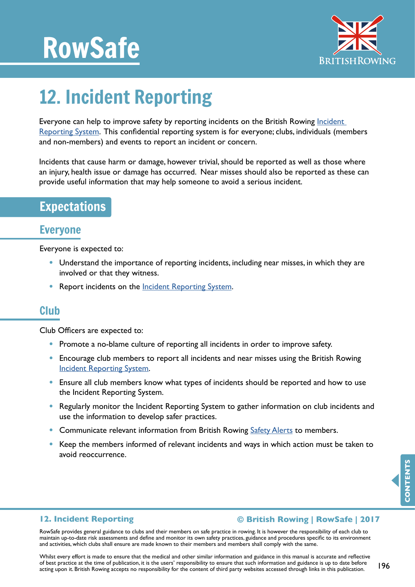# RowSafe



# 12. Incident Reporting

Everyone can help to improve safety by reporting incidents on the British Rowing Incident [Reporting System](http://incidentreporting.britishrowing.org). This confidential reporting system is for everyone; clubs, individuals (members and non-members) and events to report an incident or concern.

Incidents that cause harm or damage, however trivial, should be reported as well as those where an injury, health issue or damage has occurred. Near misses should also be reported as these can provide useful information that may help someone to avoid a serious incident.

# Expectations

## Everyone

Everyone is expected to:

- Understand the importance of reporting incidents, including near misses, in which they are involved or that they witness.
- Report incidents on the **Incident Reporting System**.

### Club

Club Officers are expected to:

- Promote a no-blame culture of reporting all incidents in order to improve safety.
- Encourage club members to report all incidents and near misses using the British Rowing [Incident Reporting System](http://incidentreporting.britishrowing.org).
- Ensure all club members know what types of incidents should be reported and how to use the Incident Reporting System.
- Regularly monitor the Incident Reporting System to gather information on club incidents and use the information to develop safer practices.
- Communicate relevant information from British Rowing [Safety Alerts](http://britishrowing.org/knowledge/safety/safety-alert- archive) to members.
- Keep the members informed of relevant incidents and ways in which action must be taken to avoid reoccurrence.

#### **12. Incident Reporting**

#### **© British Rowing | RowSafe | 2017**

RowSafe provides general guidance to clubs and their members on safe practice in rowing. It is however the responsibility of each club to maintain up-to-date risk assessments and define and monitor its own safety practices, guidance and procedures specific to its environment and activities, which clubs shall ensure are made known to their members and members shall comply with the same.

Whilst every effort is made to ensure that the medical and other similar information and guidance in this manual is accurate and reflective of best practice at the time of publication, it is the users' responsibility to ensure that such information and guidance is up to date before acting upon it. British Rowing accepts no responsibility for the content of third party websites accessed through links in this publication.